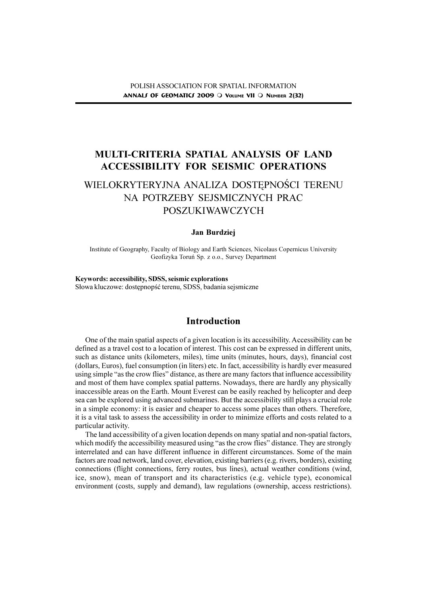# MULTI-CRITERIA SPATIAL ANALYSIS OF LAND ACCESSIBILITY FOR SEISMIC OPERATIONS

# WIELOKRYTERYJNA ANALIZA DOSTEPNOŚCI TERENU NA POTRZEBY SEJSMICZNYCH PRAC POSZUKIWAWCZYCH

### Jan Burdziej

Institute of Geography, Faculty of Biology and Earth Sciences, Nicolaus Copernicus University Geofizyka Toruñ Sp. z o.o., Survey Department

Keywords: accessibility, SDSS, seismic explorations Słowa kluczowe: dostępnopść terenu, SDSS, badania sejsmiczne

## Introduction

One of the main spatial aspects of a given location is its accessibility. Accessibility can be defined as a travel cost to a location of interest. This cost can be expressed in different units, such as distance units (kilometers, miles), time units (minutes, hours, days), financial cost (dollars, Euros), fuel consumption (in liters) etc. In fact, accessibility is hardly ever measured using simple "as the crow flies" distance, as there are many factors that influence accessibility and most of them have complex spatial patterns. Nowadays, there are hardly any physically inaccessible areas on the Earth. Mount Everest can be easily reached by helicopter and deep sea can be explored using advanced submarines. But the accessibility still plays a crucial role in a simple economy: it is easier and cheaper to access some places than others. Therefore, it is a vital task to assess the accessibility in order to minimize efforts and costs related to a particular activity.

The land accessibility of a given location depends on many spatial and non-spatial factors, which modify the accessibility measured using "as the crow flies" distance. They are strongly interrelated and can have different influence in different circumstances. Some of the main factors are road network, land cover, elevation, existing barriers (e.g. rivers, borders), existing connections (flight connections, ferry routes, bus lines), actual weather conditions (wind, ice, snow), mean of transport and its characteristics (e.g. vehicle type), economical environment (costs, supply and demand), law regulations (ownership, access restrictions).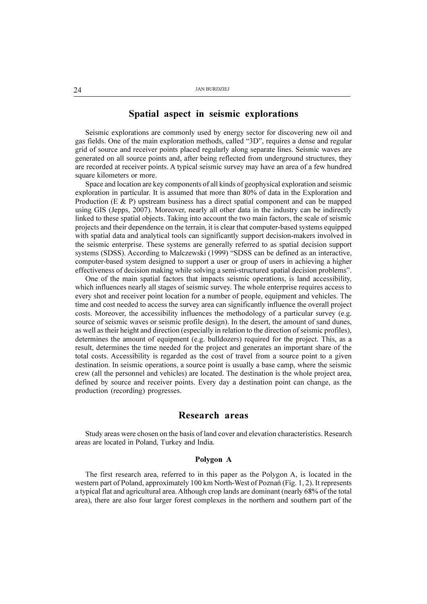## Spatial aspect in seismic explorations

Seismic explorations are commonly used by energy sector for discovering new oil and gas fields. One of the main exploration methods, called "3D", requires a dense and regular grid of source and receiver points placed regularly along separate lines. Seismic waves are generated on all source points and, after being reflected from underground structures, they are recorded at receiver points. A typical seismic survey may have an area of a few hundred square kilometers or more.

Space and location are key components of all kinds of geophysical exploration and seismic exploration in particular. It is assumed that more than 80% of data in the Exploration and Production (E & P) upstream business has a direct spatial component and can be mapped using GIS (Jepps, 2007). Moreover, nearly all other data in the industry can be indirectly linked to these spatial objects. Taking into account the two main factors, the scale of seismic projects and their dependence on the terrain, it is clear that computer-based systems equipped with spatial data and analytical tools can significantly support decision-makers involved in the seismic enterprise. These systems are generally referred to as spatial decision support systems (SDSS). According to Malczewski (1999) "SDSS can be defined as an interactive, computer-based system designed to support a user or group of users in achieving a higher effectiveness of decision making while solving a semi-structured spatial decision problems.

One of the main spatial factors that impacts seismic operations, is land accessibility, which influences nearly all stages of seismic survey. The whole enterprise requires access to every shot and receiver point location for a number of people, equipment and vehicles. The time and cost needed to access the survey area can significantly influence the overall project costs. Moreover, the accessibility influences the methodology of a particular survey (e.g. source of seismic waves or seismic profile design). In the desert, the amount of sand dunes, as well as their height and direction (especially in relation to the direction of seismic profiles), determines the amount of equipment (e.g. bulldozers) required for the project. This, as a result, determines the time needed for the project and generates an important share of the total costs. Accessibility is regarded as the cost of travel from a source point to a given destination. In seismic operations, a source point is usually a base camp, where the seismic crew (all the personnel and vehicles) are located. The destination is the whole project area, defined by source and receiver points. Every day a destination point can change, as the production (recording) progresses.

## Research areas

Study areas were chosen on the basis of land cover and elevation characteristics. Research areas are located in Poland, Turkey and India.

### Polygon A

The first research area, referred to in this paper as the Polygon A, is located in the western part of Poland, approximately 100 km North-West of Poznañ (Fig. 1, 2). It represents a typical flat and agricultural area. Although crop lands are dominant (nearly 68% of the total area), there are also four larger forest complexes in the northern and southern part of the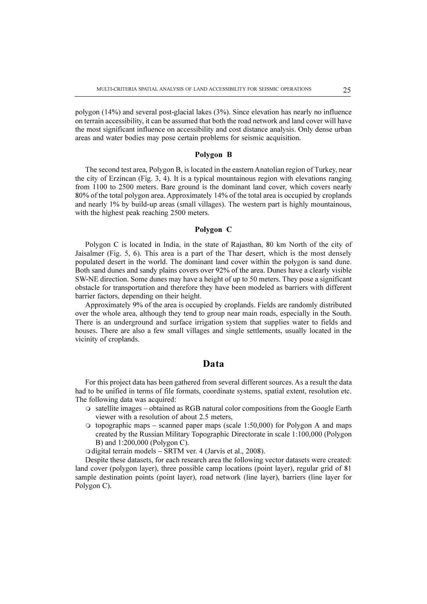polygon (14%) and several post-glacial lakes (3%). Since elevation has nearly no influence on terrain accessibility, it can be assumed that both the road network and land cover will have the most significant influence on accessibility and cost distance analysis. Only dense urban areas and water bodies may pose certain problems for seismic acquisition.

#### Polygon B

The second test area, Polygon B, is located in the eastern Anatolian region of Turkey, near the city of Erzincan (Fig. 3, 4). It is a typical mountainous region with elevations ranging from 1100 to 2500 meters. Bare ground is the dominant land cover, which covers nearly 80% of the total polygon area. Approximately 14% of the total area is occupied by croplands and nearly 1% by build-up areas (small villages). The western part is highly mountainous, with the highest peak reaching 2500 meters.

#### Polygon C

Polygon C is located in India, in the state of Rajasthan, 80 km North of the city of Jaisalmer (Fig. 5, 6). This area is a part of the Thar desert, which is the most densely populated desert in the world. The dominant land cover within the polygon is sand dune. Both sand dunes and sandy plains covers over 92% of the area. Dunes have a clearly visible SW-NE direction. Some dunes may have a height of up to 50 meters. They pose a significant obstacle for transportation and therefore they have been modeled as barriers with different barrier factors, depending on their height.

Approximately 9% of the area is occupied by croplands. Fields are randomly distributed over the whole area, although they tend to group near main roads, especially in the South. There is an underground and surface irrigation system that supplies water to fields and houses. There are also a few small villages and single settlements, usually located in the vicinity of croplands.

## Data

For this project data has been gathered from several different sources. As a result the data had to be unified in terms of file formats, coordinate systems, spatial extent, resolution etc. The following data was acquired:

- $\circ$  satellite images obtained as RGB natural color compositions from the Google Earth viewer with a resolution of about 2.5 meters,
- $\circ$  topographic maps scanned paper maps (scale 1:50,000) for Polygon A and maps created by the Russian Military Topographic Directorate in scale 1:100,000 (Polygon B) and 1:200,000 (Polygon C).

O digital terrain models - SRTM ver. 4 (Jarvis et al., 2008).

Despite these datasets, for each research area the following vector datasets were created: land cover (polygon layer), three possible camp locations (point layer), regular grid of 81 sample destination points (point layer), road network (line layer), barriers (line layer for Polygon C).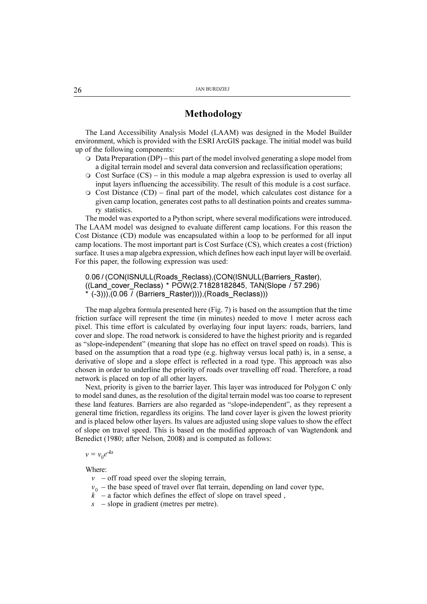## Methodology

The Land Accessibility Analysis Model (LAAM) was designed in the Model Builder environment, which is provided with the ESRI ArcGIS package. The initial model was build up of the following components:

- $\circ$  Data Preparation (DP) this part of the model involved generating a slope model from a digital terrain model and several data conversion and reclassification operations;
- $\circ$  Cost Surface (CS) in this module a map algebra expression is used to overlay all input layers influencing the accessibility. The result of this module is a cost surface.
- $\circ$  Cost Distance (CD) final part of the model, which calculates cost distance for a given camp location, generates cost paths to all destination points and creates summary statistics.

The model was exported to a Python script, where several modifications were introduced. The LAAM model was designed to evaluate different camp locations. For this reason the Cost Distance (CD) module was encapsulated within a loop to be performed for all input camp locations. The most important part is Cost Surface (CS), which creates a cost (friction) surface. It uses a map algebra expression, which defines how each input layer will be overlaid. For this paper, the following expression was used:

```
0.06 / (CON(ISNULL(Roads_Reclass),(CON(ISNULL(Barriers_Raster),
((Land_cover_Reclass) * POW(2.71828182845, TAN(Slope / 57.296)
 * (-3))),(0.06 / (Barriers_Raster)))),(Roads_Reclass)))
```
The map algebra formula presented here (Fig. 7) is based on the assumption that the time friction surface will represent the time (in minutes) needed to move 1 meter across each pixel. This time effort is calculated by overlaying four input layers: roads, barriers, land cover and slope. The road network is considered to have the highest priority and is regarded as "slope-independent" (meaning that slope has no effect on travel speed on roads). This is based on the assumption that a road type (e.g. highway versus local path) is, in a sense, a derivative of slope and a slope effect is reflected in a road type. This approach was also chosen in order to underline the priority of roads over travelling off road. Therefore, a road network is placed on top of all other layers.

Next, priority is given to the barrier layer. This layer was introduced for Polygon C only to model sand dunes, as the resolution of the digital terrain model was too coarse to represent these land features. Barriers are also regarded as "slope-independent", as they represent a general time friction, regardless its origins. The land cover layer is given the lowest priority and is placed below other layers. Its values are adjusted using slope values to show the effect of slope on travel speed. This is based on the modified approach of van Wagtendonk and Benedict (1980; after Nelson, 2008) and is computed as follows:

 $v = v_0 e^{-ks}$ 

Where:

- $v$  off road speed over the sloping terrain,
- $v_0$  the base speed of travel over flat terrain, depending on land cover type,
- $k^{\dagger}$  a factor which defines the effect of slope on travel speed,
- $s$  slope in gradient (metres per metre).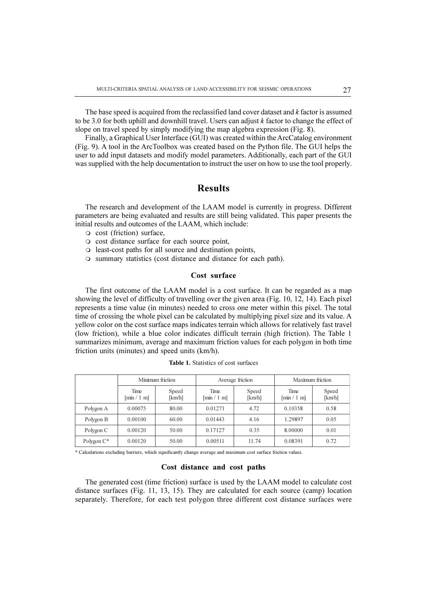The base speed is acquired from the reclassified land cover dataset and  $k$  factor is assumed to be 3.0 for both uphill and downhill travel. Users can adjust  $k$  factor to change the effect of slope on travel speed by simply modifying the map algebra expression (Fig. 8).

Finally, a Graphical User Interface (GUI) was created within the ArcCatalog environment (Fig. 9). A tool in the ArcToolbox was created based on the Python file. The GUI helps the user to add input datasets and modify model parameters. Additionally, each part of the GUI was supplied with the help documentation to instruct the user on how to use the tool properly.

## Results

The research and development of the LAAM model is currently in progress. Different parameters are being evaluated and results are still being validated. This paper presents the initial results and outcomes of the LAAM, which include:

- $\Omega$  cost (friction) surface,
- $\circ$  cost distance surface for each source point,
- $\circ$  least-cost paths for all source and destination points,
- $\circ$  summary statistics (cost distance and distance for each path).

#### Cost surface

The first outcome of the LAAM model is a cost surface. It can be regarded as a map showing the level of difficulty of travelling over the given area (Fig. 10, 12, 14). Each pixel represents a time value (in minutes) needed to cross one meter within this pixel. The total time of crossing the whole pixel can be calculated by multiplying pixel size and its value. A yellow color on the cost surface maps indicates terrain which allows for relatively fast travel (low friction), while a blue color indicates difficult terrain (high friction). The Table 1 summarizes minimum, average and maximum friction values for each polygon in both time friction units (minutes) and speed units (km/h).

|               |                                         | Minimum friction |                                  | Average friction | Maximum friction                 |                 |  |
|---------------|-----------------------------------------|------------------|----------------------------------|------------------|----------------------------------|-----------------|--|
|               | Time<br>$\left[\min/1 \text{ m}\right]$ | Speed<br>[km/h]  | Time<br>$\lceil \min / 1 \rceil$ | Speed<br>[km/h]  | Time<br>$\lceil \min / 1 \rceil$ | Speed<br>[km/h] |  |
| Polygon A     | 0.00075                                 | 80.00            | 0.01271                          | 4.72             | 0.10358                          | 0.58            |  |
| Polygon B     | 0.00100                                 | 60.00            | 0.01443                          | 4.16             | 1.29897                          | 0.05            |  |
| Polygon C     | 0.00120                                 | 50.00            | 0.17127                          | 0.35             | 8.00000                          | 0.01            |  |
| Polygon $C^*$ | 0.00120                                 | 50.00            | 0.00511                          | 11.74            | 0.08391                          | 0.72            |  |

Table 1. Statistics of cost surfaces

\* Calculations excluding barriers, which significantly change average and maximum cost surface friction values.

### Cost distance and cost paths

The generated cost (time friction) surface is used by the LAAM model to calculate cost distance surfaces (Fig. 11, 13, 15). They are calculated for each source (camp) location separately. Therefore, for each test polygon three different cost distance surfaces were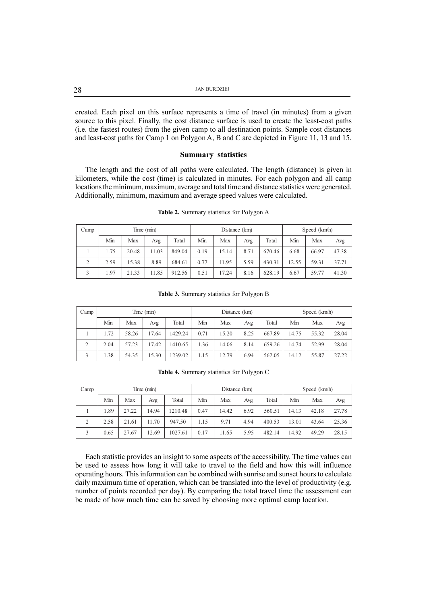| 28 | <b>JAN BURDZIEJ</b> |
|----|---------------------|
|    |                     |

created. Each pixel on this surface represents a time of travel (in minutes) from a given source to this pixel. Finally, the cost distance surface is used to create the least-cost paths (i.e. the fastest routes) from the given camp to all destination points. Sample cost distances and least-cost paths for Camp 1 on Polygon A, B and C are depicted in Figure 11, 13 and 15.

#### Summary statistics

The length and the cost of all paths were calculated. The length (distance) is given in kilometers, while the cost (time) is calculated in minutes. For each polygon and all camp locations the minimum, maximum, average and total time and distance statistics were generated. Additionally, minimum, maximum and average speed values were calculated.

| Camp       |      |       | Time (min) |        | Distance (km) |       |      |        | Speed (km/h) |       |       |
|------------|------|-------|------------|--------|---------------|-------|------|--------|--------------|-------|-------|
|            | Min  | Max   | Avg        | Total  | Min           | Max   | Avg  | Total  | Min          | Max   | Avg   |
|            | 1.75 | 20.48 | 11.03      | 849.04 | 0.19          | 15.14 | 8.71 | 670.46 | 6.68         | 66.97 | 47.38 |
| $\bigcirc$ | 2.59 | 15.38 | 8.89       | 684.61 | 0.77          | 11.95 | 5.59 | 430.31 | 12.55        | 59.31 | 37.71 |
|            | 1.97 | 21.33 | 11.85      | 912.56 | 0.51          | 17.24 | 8.16 | 628.19 | 6.67         | 59.77 | 41.30 |

Table 2. Summary statistics for Polygon A

|          | 1.75                                             | 20.48 | 11.03 | 849.04 | 0.19 | 15.14 | 8.71 | 670.46 | 6.68  | 66.97 | 47.38 |  |
|----------|--------------------------------------------------|-------|-------|--------|------|-------|------|--------|-------|-------|-------|--|
| $\gamma$ | 2.59                                             | 15.38 | 8.89  | 684.61 | 0.77 | 11.95 | 5.59 | 430.31 | 12.55 | 59.31 | 37.71 |  |
|          | 1.97                                             | 21.33 | 11.85 | 912.56 | 0.51 | 17.24 | 8.16 | 628.19 | 6.67  | 59.77 | 41.30 |  |
|          |                                                  |       |       |        |      |       |      |        |       |       |       |  |
|          | <b>Table 3.</b> Summary statistics for Polygon B |       |       |        |      |       |      |        |       |       |       |  |

|  | Table 3. Summary statistics for Polygon B |  |  |  |  |
|--|-------------------------------------------|--|--|--|--|
|--|-------------------------------------------|--|--|--|--|

| Camp |      |       | Time (min) |         | Distance (km) |       |      |        | Speed (km/h) |       |       |
|------|------|-------|------------|---------|---------------|-------|------|--------|--------------|-------|-------|
|      | Min  | Max   | Avg        | Total   | Min           | Max   | Avg  | Total  | Min          | Max   | Avg   |
|      | 1.72 | 58.26 | 17.64      | 1429.24 | 0.71          | 15.20 | 8.25 | 667.89 | 14.75        | 55.32 | 28.04 |
| C.   | 2.04 | 57.23 | 17.42      | 1410.65 | 1.36          | 14.06 | 8.14 | 659.26 | 14.74        | 52.99 | 28.04 |
|      | 1.38 | 54.35 | 15.30      | 1239.02 | 1.15          | 12.79 | 6.94 | 562.05 | 14.12        | 55.87 | 27.22 |

Table 4. Summary statistics for Polygon C

| Camp |      |       | Time (min) |         |      |       | Distance (km) | Speed (km/h) |       |       |       |
|------|------|-------|------------|---------|------|-------|---------------|--------------|-------|-------|-------|
|      | Min  | Max   | Avg        | Total   | Min  | Max   | Avg           | Total        | Min   | Max   | Avg   |
|      | 1.89 | 27.22 | 14.94      | 1210.48 | 0.47 | 14.42 | 6.92          | 560.51       | 14.13 | 42.18 | 27.78 |
| 2    | 2.58 | 21.61 | 11.70      | 947.50  | 1.15 | 9.71  | 4.94          | 400.53       | 13.01 | 43.64 | 25.36 |
| 3    | 0.65 | 27.67 | 12.69      | 1027.61 | 0.17 | 11.65 | 5.95          | 482.14       | 14.92 | 49.29 | 28.15 |

Each statistic provides an insight to some aspects of the accessibility. The time values can be used to assess how long it will take to travel to the field and how this will influence operating hours. This information can be combined with sunrise and sunset hours to calculate daily maximum time of operation, which can be translated into the level of productivity (e.g. number of points recorded per day). By comparing the total travel time the assessment can be made of how much time can be saved by choosing more optimal camp location.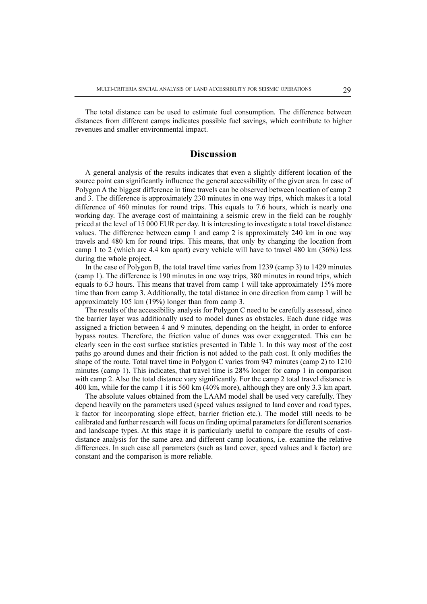The total distance can be used to estimate fuel consumption. The difference between distances from different camps indicates possible fuel savings, which contribute to higher revenues and smaller environmental impact.

## **Discussion**

A general analysis of the results indicates that even a slightly different location of the source point can significantly influence the general accessibility of the given area. In case of Polygon A the biggest difference in time travels can be observed between location of camp 2 and 3. The difference is approximately 230 minutes in one way trips, which makes it a total difference of 460 minutes for round trips. This equals to 7.6 hours, which is nearly one working day. The average cost of maintaining a seismic crew in the field can be roughly priced at the level of 15 000 EUR per day. It is interesting to investigate a total travel distance values. The difference between camp 1 and camp 2 is approximately 240 km in one way travels and 480 km for round trips. This means, that only by changing the location from camp 1 to 2 (which are 4.4 km apart) every vehicle will have to travel 480 km (36%) less during the whole project.

In the case of Polygon B, the total travel time varies from 1239 (camp 3) to 1429 minutes (camp 1). The difference is 190 minutes in one way trips, 380 minutes in round trips, which equals to 6.3 hours. This means that travel from camp 1 will take approximately 15% more time than from camp 3. Additionally, the total distance in one direction from camp 1 will be approximately 105 km (19%) longer than from camp 3.

The results of the accessibility analysis for Polygon C need to be carefully assessed, since the barrier layer was additionally used to model dunes as obstacles. Each dune ridge was assigned a friction between 4 and 9 minutes, depending on the height, in order to enforce bypass routes. Therefore, the friction value of dunes was over exaggerated. This can be clearly seen in the cost surface statistics presented in Table 1. In this way most of the cost paths go around dunes and their friction is not added to the path cost. It only modifies the shape of the route. Total travel time in Polygon C varies from 947 minutes (camp 2) to 1210 minutes (camp 1). This indicates, that travel time is 28% longer for camp 1 in comparison with camp 2. Also the total distance vary significantly. For the camp 2 total travel distance is 400 km, while for the camp 1 it is 560 km (40% more), although they are only 3.3 km apart.

The absolute values obtained from the LAAM model shall be used very carefully. They depend heavily on the parameters used (speed values assigned to land cover and road types, k factor for incorporating slope effect, barrier friction etc.). The model still needs to be calibrated and further research will focus on finding optimal parameters for different scenarios and landscape types. At this stage it is particularly useful to compare the results of costdistance analysis for the same area and different camp locations, i.e. examine the relative differences. In such case all parameters (such as land cover, speed values and k factor) are constant and the comparison is more reliable.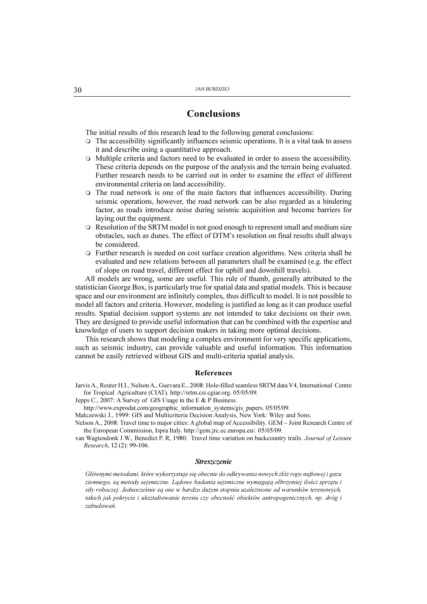## Conclusions

The initial results of this research lead to the following general conclusions:

- $\circ$  The accessibility significantly influences seismic operations. It is a vital task to assess it and describe using a quantitative approach.
- $\circ$  Multiple criteria and factors need to be evaluated in order to assess the accessibility. These criteria depends on the purpose of the analysis and the terrain being evaluated. Further research needs to be carried out in order to examine the effect of different environmental criteria on land accessibility.
- $\circ$  The road network is one of the main factors that influences accessibility. During seismic operations, however, the road network can be also regarded as a hindering factor, as roads introduce noise during seismic acquisition and become barriers for laying out the equipment.
- $\circ$  Resolution of the SRTM model is not good enough to represent small and medium size obstacles, such as dunes. The effect of DTM's resolution on final results shall always be considered.
- m Further research is needed on cost surface creation algorithms. New criteria shall be evaluated and new relations between all parameters shall be examined (e.g. the effect of slope on road travel, different effect for uphill and downhill travels).

All models are wrong, some are useful. This rule of thumb, generally attributed to the statistician George Box, is particularly true for spatial data and spatial models. This is because space and our environment are infinitely complex, thus difficult to model. It is not possible to model all factors and criteria. However, modeling is justified as long as it can produce useful results. Spatial decision support systems are not intended to take decisions on their own. They are designed to provide useful information that can be combined with the expertise and knowledge of users to support decision makers in taking more optimal decisions.

This research shows that modeling a complex environment for very specific applications, such as seismic industry, can provide valuable and useful information. This information cannot be easily retrieved without GIS and multi-criteria spatial analysis.

#### References

Jarvis A., Reuter H.I., Nelson A., Guevara E., 2008: Hole-filled seamless SRTM data V4, International Centre for Tropical Agriculture (CIAT). http://srtm.csi.cgiar.org. 05/05/09.

Jepps C., 2007: A Survey of GIS Usage in the E & P Business.

http://www.exprodat.com/geographic\_information\_systems/gis\_papers. 05/05/09.

Malczewski J., 1999: GIS and Multicriteria Decision Analysis, New York: Wiley and Sons.

Nelson A., 2008: Travel time to major cities: A global map of Accessibility. GEM Joint Research Centre of the European Commission, Ispra Italy. http://gem.jrc.ec.europa.eu/. 05/05/09.

van Wagtendonk J.W., Benedict P. R, 1980: Travel time variation on backcountry trails. Journal of Leisure Research, 12 (2): 99-106.

#### **Streszczenie**

Głównymi metodami, które wykorzystuje się obecnie do odkrywania nowych złóż ropy naftowej i gazu ziemnego, są metody sejsmiczne. Lądowe badania sejsmiczne wymagają olbrzymiej ilości sprzętu i siły roboczej. Jednocześnie są one w bardzo dużym stopniu uzależnione od warunków terenowych, takich jak pokrycie i ukształtowanie terenu czy obecność obiektów antropogenicznych, np. dróg i zabudowañ.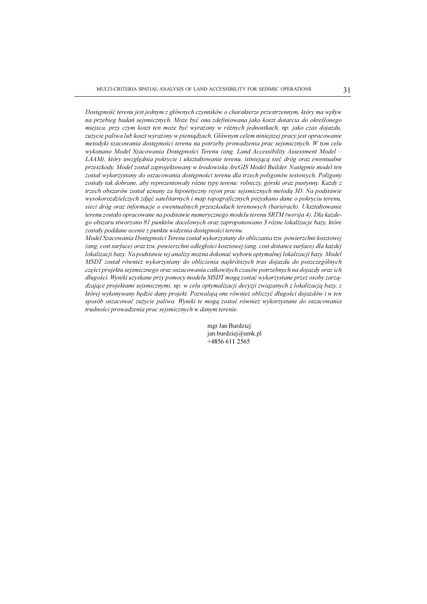Dostępność terenu jest jednym z głównych czynników o charakterze przestrzennym, który ma wpływ na przebieg badań sejsmicznych. Może być ona zdefiniowana jako koszt dotarcia do określonego miejsca, przy czym koszt ten może być wyrażony w różnych jednostkach, np. jako czas dojazdu, zużycie paliwa lub koszt wyrażony w pieniądzach. Głównym celem niniejszej pracy jest opracowanie metodyki szacowania dostępności terenu na potrzeby prowadzenia prac sejsmicznych. W tym celu wykonano Model Szacowania Dostępności Terenu (ang. Land Accessibility Assessment Model – LAAM), który uwzględnia pokrycie i ukształtowanie terenu, istniejąca sieć dróg oraz ewentualne przeszkody. Model został zaprojektowany w środowisku ArcGIS Model Builder. Nastepnie model ten został wykorzystany do oszacowania dostępności terenu dla trzech poligonów testowych. Poligony zostały tak dobrane, aby reprezentowały różne typy terenu: rolniczy, górski oraz pustynny. Każdy z trzech obszarów został uznany za hipotetyczny rejon prac sejsmicznych metodą 3D. Na podstawie wysokorozdzielczych zdjêæ satelitarnych i map topograficznych pozyskano dane o pokryciu terenu, sieci dróg oraz informacje o ewentualnych przeszkodach terenowych (barierach). Ukształtowanie terenu zostało opracowane na podstawie numerycznego modelu terenu SRTM (wersja 4). Dla każdego obszaru stworzono 81 punktów docelowych oraz zaproponowano 3 ró¿ne lokalizacje bazy, które zostały poddane ocenie z punktu widzenia dostępności terenu.

Model Szacowania Dostępności Terenu został wykorzystany do obliczania tzw. powierzchni kosztowej (ang. cost surface) oraz tzw. powierzchni odległości kosztowej (ang. cost distance surface) dla każdej lokalizacji bazy. Na podstawie tej analizy można dokonać wyboru optymalnej lokalizacji bazy. Model MSDT został również wykorzystany do obliczenia najkrótszych tras dojazdu do poszczególnych części projektu sejsmicznego oraz oszacowania całkowitych czasów potrzebnych na dojazdy oraz ich długości. Wyniki uzyskane przy pomocy modelu MSDT mogą zostać wykorzystane przez osoby zarządzające projektami sejsmicznymi, np. w celu optymalizacji decyzji związanych z lokalizacją bazy, z której wykonywany będzie dany projekt. Pozwalają one również obliczyć długości dojazdów i w ten sposób oszacować zużycie paliwa. Wyniki te mogą zostać również wykorzystane do oszacowania trudności prowadzenia prac sejsmicznych w danym terenie.

> mgr Jan Burdziej jan.burdziej@umk.pl +4856 611 2565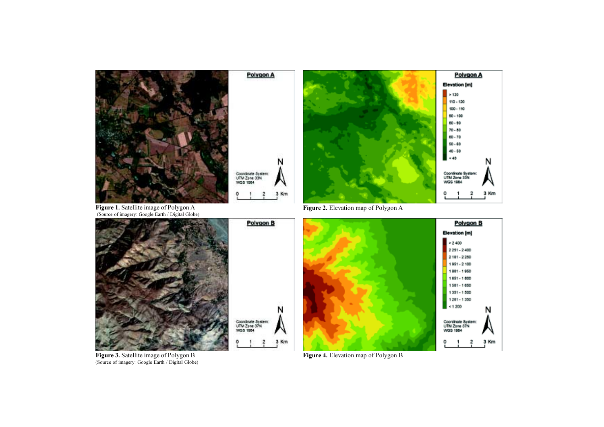

Polygon A

Coordinate System:<br>UTM Zone 33N<br>WGS 1984

J.



N

3 Kт



Figure 3. Satellite image of Polygon B Figure 4. Elevation map of Polygon B (Source of imagery: Google Earth / Digital Globe)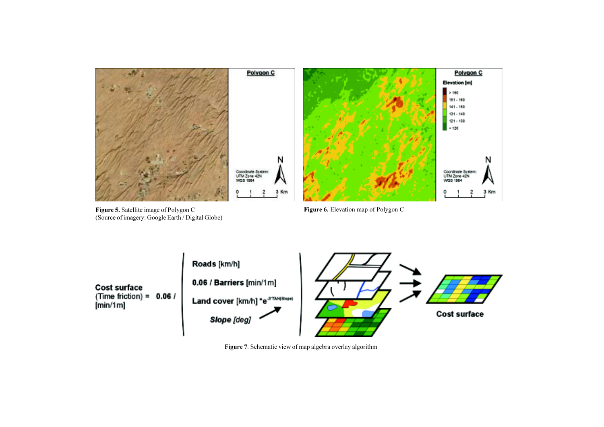



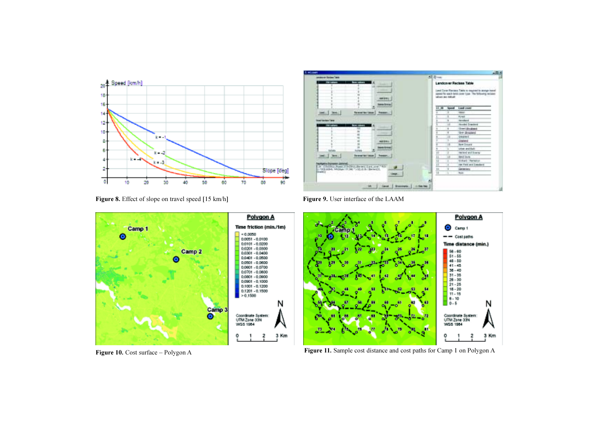







Figure 10. Cost surface – Polygon A Figure 11. Sample cost distance and cost paths for Camp 1 on Polygon A